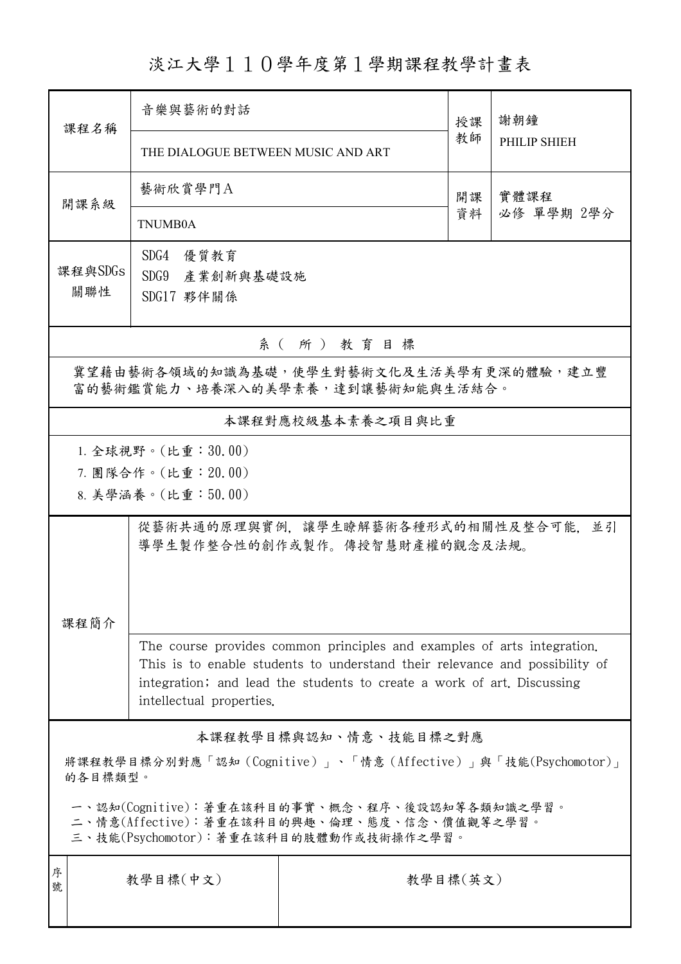淡江大學110學年度第1學期課程教學計畫表

| 課程名稱                                                                                                                                   | 音樂與藝術的對話                                                                                           |                       | 授課 | 謝朝鐘          |  |  |  |
|----------------------------------------------------------------------------------------------------------------------------------------|----------------------------------------------------------------------------------------------------|-----------------------|----|--------------|--|--|--|
|                                                                                                                                        | THE DIALOGUE BETWEEN MUSIC AND ART                                                                 |                       | 教師 | PHILIP SHIEH |  |  |  |
| 開課系級                                                                                                                                   | 藝術欣賞學門A                                                                                            |                       | 開課 | 實體課程         |  |  |  |
|                                                                                                                                        | <b>TNUMB0A</b>                                                                                     | 資料                    |    | 必修 單學期 2學分   |  |  |  |
| 課程與SDGs                                                                                                                                | SDG4<br>優質教育<br>SDG9 產業創新與基礎設施                                                                     |                       |    |              |  |  |  |
| 關聯性                                                                                                                                    | SDG17 夥伴關係                                                                                         |                       |    |              |  |  |  |
| 系(所)教育目標                                                                                                                               |                                                                                                    |                       |    |              |  |  |  |
| 冀望藉由藝術各領域的知識為基礎,使學生對藝術文化及生活美學有更深的體驗,建立豐<br>富的藝術鑑賞能力、培養深入的美學素養,達到讓藝術知能與生活結合。                                                            |                                                                                                    |                       |    |              |  |  |  |
|                                                                                                                                        | 本課程對應校級基本素養之項目與比重                                                                                  |                       |    |              |  |  |  |
|                                                                                                                                        | 1. 全球視野。(比重:30.00)                                                                                 |                       |    |              |  |  |  |
|                                                                                                                                        | 7. 團隊合作。(比重:20.00)                                                                                 |                       |    |              |  |  |  |
|                                                                                                                                        | 8. 美學涵養。(比重:50.00)                                                                                 |                       |    |              |  |  |  |
| 課程簡介                                                                                                                                   | 從藝術共通的原理與實例, 讓學生瞭解藝術各種形式的相關性及整合可能,<br>並引<br>導學生製作整合性的創作或製作。傳授智慧財產權的觀念及法規。                          |                       |    |              |  |  |  |
|                                                                                                                                        | The course provides common principles and examples of arts integration.                            |                       |    |              |  |  |  |
|                                                                                                                                        | This is to enable students to understand their relevance and possibility of                        |                       |    |              |  |  |  |
|                                                                                                                                        | integration; and lead the students to create a work of art. Discussing<br>intellectual properties. |                       |    |              |  |  |  |
|                                                                                                                                        |                                                                                                    | 本課程教學目標與認知、情意、技能目標之對應 |    |              |  |  |  |
| 將課程教學目標分別對應「認知(Cognitive)」、「情意(Affective)」與「技能(Psychomotor)」<br>的各目標類型。                                                                |                                                                                                    |                       |    |              |  |  |  |
| 一、認知(Cognitive):著重在該科目的事實、概念、程序、後設認知等各類知識之學習。<br>二、情意(Affective):著重在該科目的興趣、倫理、態度、信念、價值觀等之學習。<br>三、技能(Psychomotor):著重在該科目的肢體動作或技術操作之學習。 |                                                                                                    |                       |    |              |  |  |  |
| 序<br>號                                                                                                                                 | 教學目標(中文)                                                                                           | 教學目標(英文)              |    |              |  |  |  |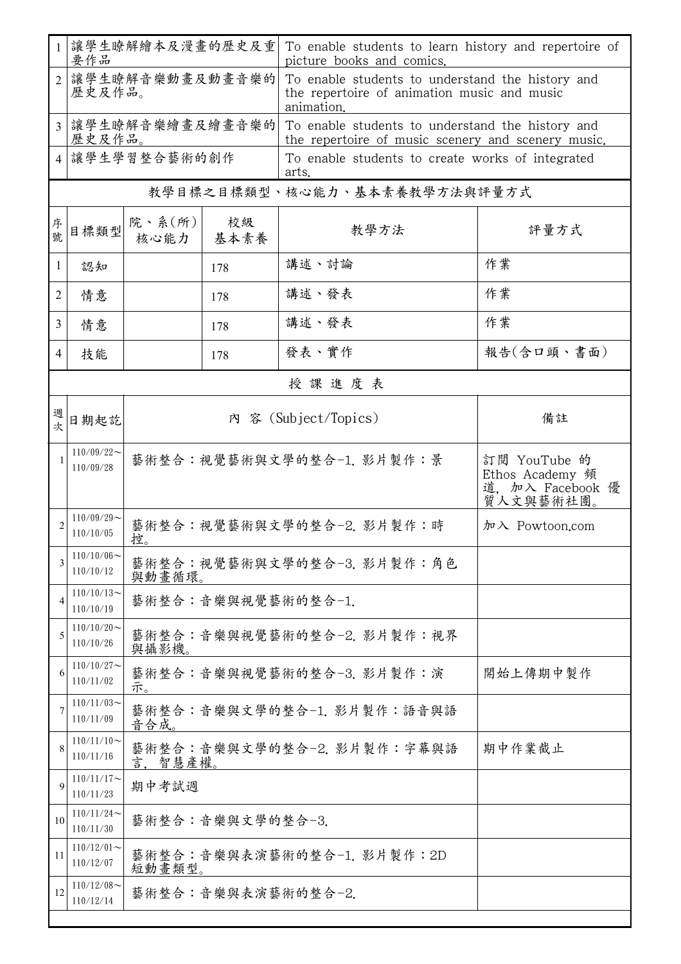|                              | 讓學生瞭解繪本及漫畫的歷史及重<br>要作品        |                           |                  | To enable students to learn history and repertoire of<br>picture books and comics.                            |                                                                  |  |  |
|------------------------------|-------------------------------|---------------------------|------------------|---------------------------------------------------------------------------------------------------------------|------------------------------------------------------------------|--|--|
| $\overline{2}$               |                               | 讓學生瞭解音樂動畫及動畫音樂的<br>歷史及作品。 |                  | To enable students to understand the history and<br>the repertoire of animation music and music<br>animation. |                                                                  |  |  |
|                              | 讓學生瞭解音樂繪畫及繪畫音樂的<br>歷史及作品。     |                           |                  | To enable students to understand the history and<br>the repertoire of music scenery and scenery music.        |                                                                  |  |  |
|                              | 讓學生學習整合藝術的創作                  |                           |                  | To enable students to create works of integrated<br>arts.                                                     |                                                                  |  |  |
| 教學目標之目標類型、核心能力、基本素養教學方法與評量方式 |                               |                           |                  |                                                                                                               |                                                                  |  |  |
| 序號                           | 目標類型                          | 院、系 $(\text{m})$<br>核心能力  | 校級<br>基本素養       | 教學方法                                                                                                          | 評量方式                                                             |  |  |
| 1                            | 認知                            |                           | 178              | 講述、討論                                                                                                         | 作業                                                               |  |  |
| $\overline{2}$               | 情意                            |                           | 178              | 講述、發表                                                                                                         | 作業                                                               |  |  |
| 3                            | 情意                            |                           | 178              | 講述、發表                                                                                                         | 作業                                                               |  |  |
| 4                            | 技能                            |                           | 178              | 發表、實作                                                                                                         | 報告(含口頭、書面)                                                       |  |  |
|                              |                               |                           |                  | 授課進度表                                                                                                         |                                                                  |  |  |
| 週次                           | 日期起訖                          |                           |                  | 內 容 (Subject/Topics)                                                                                          | 備註                                                               |  |  |
|                              | $110/09/22$ ~<br>110/09/28    |                           |                  | 藝術整合:視覺藝術與文學的整合-1. 影片製作:景                                                                                     | 訂閱 YouTube 的<br>Ethos Academy 頻<br>道, 加入 Facebook 優<br>質人文與藝術社團。 |  |  |
|                              | $110/09/29$ ~<br>110/10/05    | 控。                        |                  | 藝術整合:視覺藝術與文學的整合-2. 影片製作:時                                                                                     | 加入 Powtoon.com                                                   |  |  |
| 3                            | $110/10/06 \sim$<br>110/10/12 | 與動畫循環。                    |                  | 藝術整合:視覺藝術與文學的整合-3. 影片製作:角色                                                                                    |                                                                  |  |  |
|                              | $110/10/13$ ~<br>110/10/19    |                           |                  | 藝術整合:音樂與視覺藝術的整合-1.                                                                                            |                                                                  |  |  |
| 5                            | $110/10/20$ ~<br>110/10/26    | 與攝影機。                     |                  | 藝術整合:音樂與視覺藝術的整合-2. 影片製作:視界                                                                                    |                                                                  |  |  |
| 6                            | $110/10/27$ ~<br>110/11/02    | 示。                        |                  | 藝術整合:音樂與視覺藝術的整合-3. 影片製作:演                                                                                     | 開始上傳期中製作                                                         |  |  |
|                              | $110/11/03$ ~<br>110/11/09    | 音合成。                      |                  | 藝術整合:音樂與文學的整合-1. 影片製作:語音與語                                                                                    |                                                                  |  |  |
| 8                            | $110/11/10$ ~<br>110/11/16    | 智慧產權。                     |                  | 藝術整合:音樂與文學的整合-2. 影片製作:字幕與語                                                                                    | 期中作業截止                                                           |  |  |
| $\mathbf Q$                  | $110/11/17$ ~<br>110/11/23    | 期中考試週                     |                  |                                                                                                               |                                                                  |  |  |
| 10                           | $110/11/24$ ~<br>110/11/30    |                           | 藝術整合:音樂與文學的整合-3. |                                                                                                               |                                                                  |  |  |
| 11                           | $110/12/01$ ~<br>110/12/07    | 短動畫類型。                    |                  | 藝術整合:音樂與表演藝術的整合-1. 影片製作: 2D                                                                                   |                                                                  |  |  |
| 12                           | $110/12/08$ ~<br>110/12/14    |                           |                  | 藝術整合:音樂與表演藝術的整合-2.                                                                                            |                                                                  |  |  |